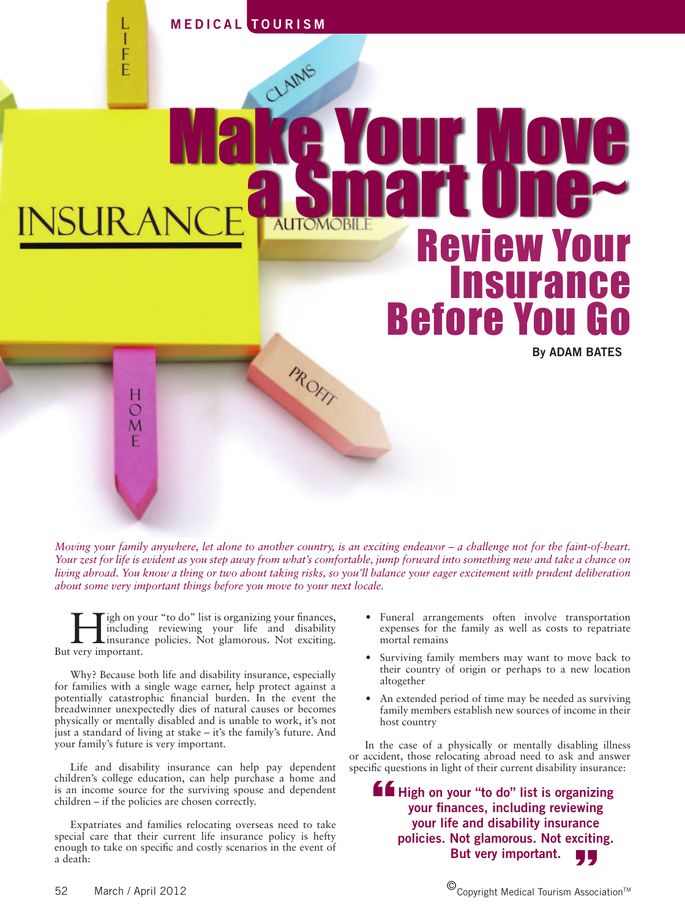CLAIMS

L  $\overline{1}$ F

> $\bigcirc$ M

## Make Your Move INSUR A Review Your **nsura**

PROFIT

*Moving your family anywhere, let alone to another country, is an exciting endeavor – a challenge not for the faint-of-heart. Your zest for life is evident as you step away from what's comfortable, jump forward into something new and take a chance on living abroad. You know a thing or two about taking risks, so you'll balance your eager excitement with prudent deliberation about some very important things before you move to your next locale.*

High on your "to do" list is organizing your finances,<br>including reviewing your life and disability<br>insurance policies. Not glamorous. Not exciting. including reviewing your life and disability insurance policies. Not glamorous. Not exciting. But very important.

Why? Because both life and disability insurance, especially for families with a single wage earner, help protect against a potentially catastrophic financial burden. In the event the breadwinner unexpectedly dies of natural causes or becomes physically or mentally disabled and is unable to work, it's not just a standard of living at stake – it's the family's future. And your family's future is very important.

Life and disability insurance can help pay dependent children's college education, can help purchase a home and is an income source for the surviving spouse and dependent children – if the policies are chosen correctly.

Expatriates and families relocating overseas need to take special care that their current life insurance policy is hefty enough to take on specific and costly scenarios in the event of a death:

• Funeral arrangements often involve transportation expenses for the family as well as costs to repatriate mortal remains

**Before You** 

**By Adam Bates**

- Surviving family members may want to move back to their country of origin or perhaps to a new location altogether
- An extended period of time may be needed as surviving family members establish new sources of income in their host country

In the case of a physically or mentally disabling illness or accident, those relocating abroad need to ask and answer specific questions in light of their current disability insurance:

**High on your "to do" list is organizing your finances, including reviewing your life and disability insurance policies. Not glamorous. Not exciting. But very important.**